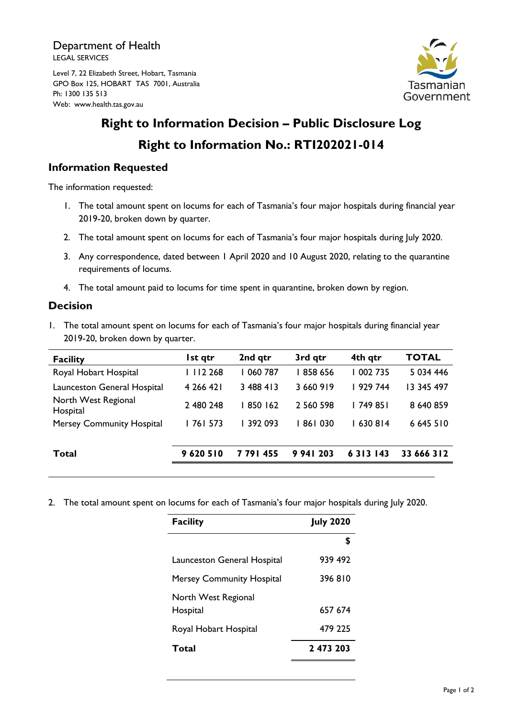Department of Health LEGAL SERVICES

Level 7, 22 Elizabeth Street, Hobart, Tasmania GPO Box 125, HOBART TAS 7001, Australia Ph: 1300 135 513 Web: www.health.tas.gov.au



## **Right to Information Decision – Public Disclosure Log Right to Information No.: RTI202021-014**

## **Information Requested**

The information requested:

- 1. The total amount spent on locums for each of Tasmania's four major hospitals during financial year 2019-20, broken down by quarter.
- 2. The total amount spent on locums for each of Tasmania's four major hospitals during July 2020.
- 3. Any correspondence, dated between 1 April 2020 and 10 August 2020, relating to the quarantine requirements of locums.
- 4. The total amount paid to locums for time spent in quarantine, broken down by region.

## **Decision**

1. The total amount spent on locums for each of Tasmania's four major hospitals during financial year 2019-20, broken down by quarter.

| <b>Facility</b>                  | Ist qtr   | 2nd qtr   | 3rd qtr   | 4th qtr       | <b>TOTAL</b> |
|----------------------------------|-----------|-----------|-----------|---------------|--------------|
| Royal Hobart Hospital            | 2 2 4 8   | 060 787   | 858 656   | 002 735       | 5 034 446    |
| Launceston General Hospital      | 4 266 421 | 3 488 413 | 3 660 919 | 929 744       | 13 345 497   |
| North West Regional<br>Hospital  | 2 480 248 | 850 162   | 2 560 598 | l 749 851     | 8 640 859    |
| <b>Mersey Community Hospital</b> | 761 573   | l 392 093 | 861030    | 630814        | 6 645 510    |
|                                  |           |           |           |               |              |
| Total                            | 9620510   | 7791455   | 9 941 203 | 6 3 1 3 1 4 3 | 33 666 312   |
|                                  |           |           |           |               |              |

2. The total amount spent on locums for each of Tasmania's four major hospitals during July 2020.

| <b>Facility</b>                  | <b>July 2020</b> |
|----------------------------------|------------------|
|                                  | \$               |
| Launceston General Hospital      | 939 492          |
| <b>Mersey Community Hospital</b> | 396810           |
| North West Regional<br>Hospital  | 657 674          |
| Royal Hobart Hospital            | 479 225          |
| Total                            | 2 473 203        |